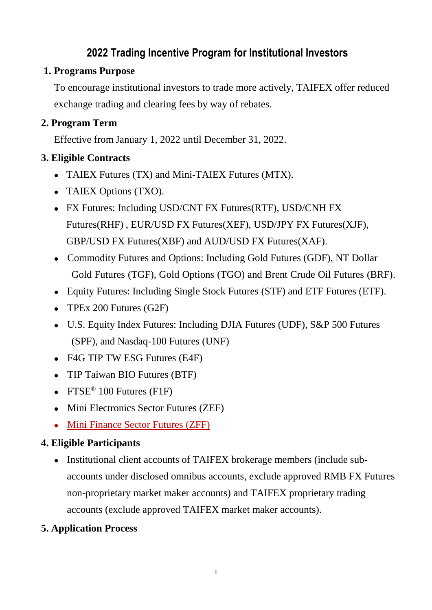### **2022 Trading Incentive Program for Institutional Investors**

#### **1. Programs Purpose**

To encourage institutional investors to trade more actively, TAIFEX offer reduced exchange trading and clearing fees by way of rebates.

#### **2. Program Term**

Effective from January 1, 2022 until December 31, 2022.

#### **3. Eligible Contracts**

- TAIEX Futures (TX) and Mini-TAIEX Futures (MTX).
- TAIEX Options (TXO).
- FX Futures: Including USD/CNT FX Futures(RTF), USD/CNH FX Futures(RHF) , [EUR/USD FX Futures\(](http://www.taifex.com.tw/eng/eng2/XEF.asp)XEF), [USD/JPY FX Futures\(](http://www.taifex.com.tw/eng/eng2/XJF.asp)XJF), GBP/USD FX Futures(XBF) and AUD/USD FX Futures(XAF).
- Commodity Futures and Options: Including Gold Futures (GDF), NT Dollar Gold Futures (TGF), Gold Options (TGO) and Brent Crude Oil Futures (BRF).
- Equity Futures: Including Single Stock Futures (STF) and ETF Futures (ETF).
- TPEx 200 Futures (G2F)
- U.S. Equity Index Futures: Including DJIA Futures (UDF), S&P 500 Futures (SPF), and Nasdaq-100 Futures (UNF)
- F4G TIP TW ESG Futures (E4F)
- TIP Taiwan BIO Futures (BTF)
- FTSE<sup>®</sup> 100 Futures (F1F)
- Mini Electronics Sector Futures (ZEF)
- Mini Finance Sector Futures (ZFF)

#### **4. Eligible Participants**

• Institutional client accounts of TAIFEX brokerage members (include subaccounts under disclosed omnibus accounts, exclude approved RMB FX Futures non-proprietary market maker accounts) and TAIFEX proprietary trading accounts (exclude approved TAIFEX market maker accounts).

#### **5. Application Process**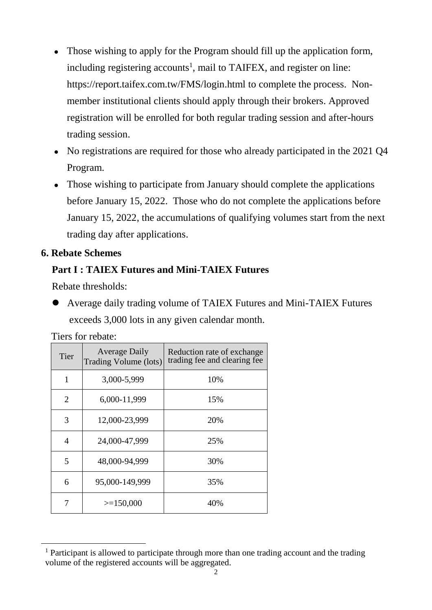- Those wishing to apply for the Program should fill up the application form, including registering accounts<sup>1</sup>, mail to TAIFEX, and register on line: <https://report.taifex.com.tw/FMS/login.html> to complete the process. Nonmember institutional clients should apply through their brokers. Approved registration will be enrolled for both regular trading session and after-hours trading session.
- No registrations are required for those who already participated in the 2021 Q4 Program.
- Those wishing to participate from January should complete the applications before January 15, 2022. Those who do not complete the applications before January 15, 2022, the accumulations of qualifying volumes start from the next trading day after applications.

#### **6. Rebate Schemes**

#### **Part I : TAIEX Futures and Mini-TAIEX Futures**

Rebate thresholds:

 Average daily trading volume of TAIEX Futures and Mini-TAIEX Futures exceeds 3,000 lots in any given calendar month.

Tiers for rebate:

1

| Tier                        | <b>Average Daily</b><br>Trading Volume (lots) | Reduction rate of exchange<br>trading fee and clearing fee |
|-----------------------------|-----------------------------------------------|------------------------------------------------------------|
| 1                           | 3,000-5,999                                   | 10%                                                        |
| $\mathcal{D}_{\mathcal{L}}$ | 6,000-11,999                                  | 15%                                                        |
| 3                           | 12,000-23,999                                 | 20%                                                        |
| 4                           | 24,000-47,999                                 | 25%                                                        |
| 5                           | 48,000-94,999                                 | 30%                                                        |
| 6                           | 95,000-149,999                                | 35%                                                        |
|                             | $>=150,000$                                   | 40%                                                        |

<sup>&</sup>lt;sup>1</sup> Participant is allowed to participate through more than one trading account and the trading volume of the registered accounts will be aggregated.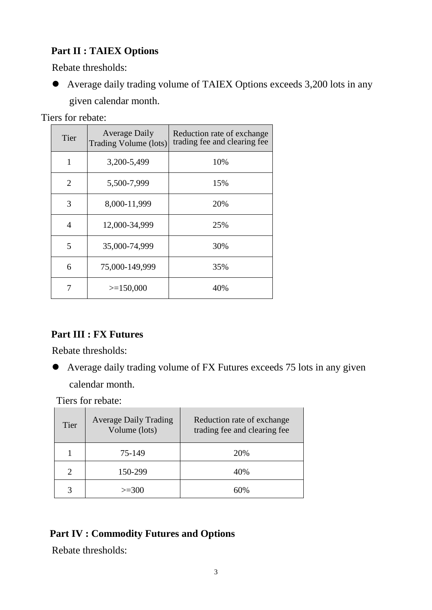#### **Part II : TAIEX Options**

Rebate thresholds:

 Average daily trading volume of TAIEX Options exceeds 3,200 lots in any given calendar month.

Tiers for rebate:

| Tier           | <b>Average Daily</b><br>Trading Volume (lots) | Reduction rate of exchange<br>trading fee and clearing fee |
|----------------|-----------------------------------------------|------------------------------------------------------------|
| 1              | 3,200-5,499                                   | 10%                                                        |
| $\overline{2}$ | 5,500-7,999                                   | 15%                                                        |
| 3              | 8,000-11,999                                  | 20%                                                        |
| 4              | 12,000-34,999                                 | 25%                                                        |
| 5              | 35,000-74,999                                 | 30%                                                        |
| 6              | 75,000-149,999                                | 35%                                                        |
| 7              | $>=150,000$                                   | 40%                                                        |

#### **Part III : FX Futures**

Rebate thresholds:

 Average daily trading volume of FX Futures exceeds 75 lots in any given calendar month.

Tiers for rebate:

| Tier        | <b>Average Daily Trading</b><br>Volume (lots) | Reduction rate of exchange<br>trading fee and clearing fee |
|-------------|-----------------------------------------------|------------------------------------------------------------|
|             | 75-149                                        | 20%                                                        |
|             | 150-299                                       | 40%                                                        |
| $\mathbf 3$ | $>=300$                                       | 60%                                                        |

#### **Part IV : Commodity Futures and Options**

Rebate thresholds: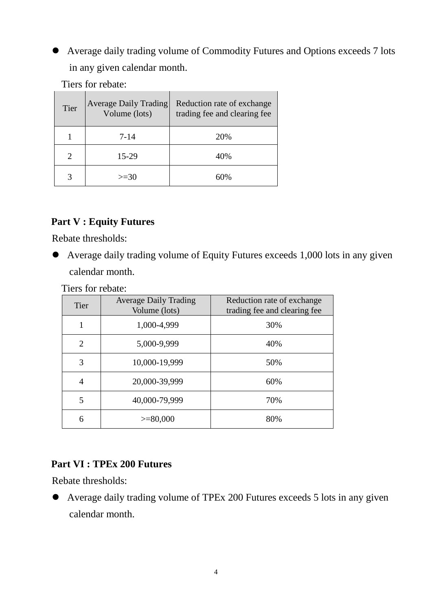Average daily trading volume of Commodity Futures and Options exceeds 7 lots in any given calendar month.

Tiers for rebate:

| Tier | <b>Average Daily Trading</b><br>Volume (lots) | Reduction rate of exchange<br>trading fee and clearing fee |
|------|-----------------------------------------------|------------------------------------------------------------|
|      | 7-14                                          | 20%                                                        |
|      | 15-29                                         | 40%                                                        |
|      | $>=30$                                        | 60%                                                        |

#### **Part V : Equity Futures**

Rebate thresholds:

 Average daily trading volume of Equity Futures exceeds 1,000 lots in any given calendar month.

Tiers for rebate:

| <b>Tier</b> | <b>Average Daily Trading</b><br>Volume (lots) | Reduction rate of exchange<br>trading fee and clearing fee |
|-------------|-----------------------------------------------|------------------------------------------------------------|
|             | 1,000-4,999                                   | 30%                                                        |
| 2           | 5,000-9,999                                   | 40%                                                        |
| 3           | 10,000-19,999                                 | 50%                                                        |
| 4           | 20,000-39,999                                 | 60%                                                        |
| 5           | 40,000-79,999                                 | 70%                                                        |
| 6           | $>= 80,000$                                   | 80%                                                        |

#### **Part VI : TPEx 200 Futures**

Rebate thresholds:

 Average daily trading volume of TPEx 200 Futures exceeds 5 lots in any given calendar month.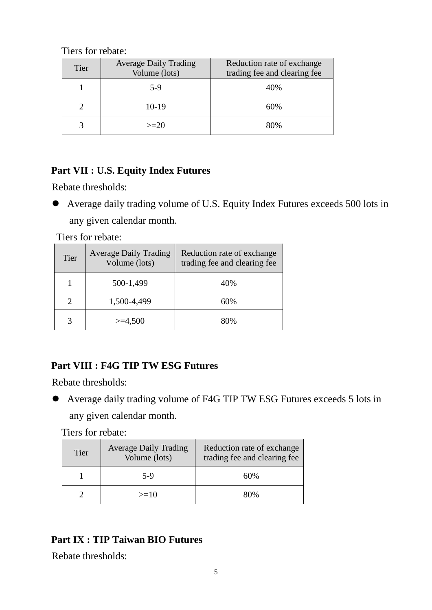Tiers for rebate:

| Tier | <b>Average Daily Trading</b><br>Volume (lots) | Reduction rate of exchange<br>trading fee and clearing fee |
|------|-----------------------------------------------|------------------------------------------------------------|
|      | 5-9                                           | 40%                                                        |
|      | $10-19$                                       | 60%                                                        |
|      | $>=20$                                        | 80%                                                        |

#### **Part VII : U.S. Equity Index Futures**

Rebate thresholds:

 Average daily trading volume of U.S. Equity Index Futures exceeds 500 lots in any given calendar month.

Tiers for rebate:

| Tier | <b>Average Daily Trading</b><br>Volume (lots) | Reduction rate of exchange<br>trading fee and clearing fee |
|------|-----------------------------------------------|------------------------------------------------------------|
|      | 500-1,499                                     | 40%                                                        |
|      | 1,500-4,499                                   | 60%                                                        |
|      | $>=$ 4,500                                    | 80%                                                        |

#### **Part VIII : F4G TIP TW ESG Futures**

Rebate thresholds:

 Average daily trading volume of F4G TIP TW ESG Futures exceeds 5 lots in any given calendar month.

Tiers for rebate:

| <b>Tier</b> | <b>Average Daily Trading</b><br>Volume (lots) | Reduction rate of exchange<br>trading fee and clearing fee |
|-------------|-----------------------------------------------|------------------------------------------------------------|
|             | 5-9                                           | 60%                                                        |
|             | $>=10$                                        | 80%                                                        |

#### **Part IX : TIP Taiwan BIO Futures**

Rebate thresholds: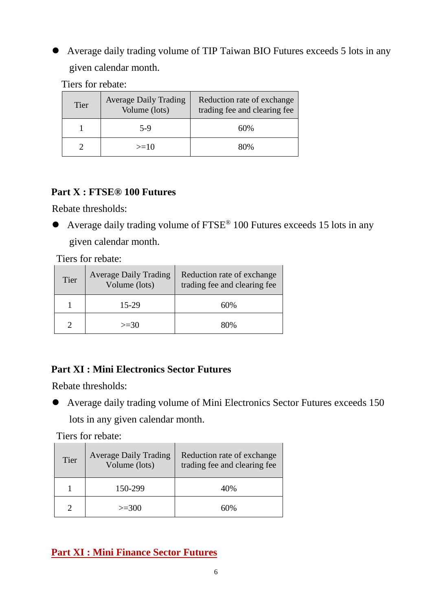## Average daily trading volume of TIP Taiwan BIO Futures exceeds 5 lots in any given calendar month.

Tiers for rebate:

| Tier | <b>Average Daily Trading</b><br>Volume (lots) | Reduction rate of exchange<br>trading fee and clearing fee |
|------|-----------------------------------------------|------------------------------------------------------------|
|      | $5-9$                                         | 60%                                                        |
|      | $>=10$                                        | 80%                                                        |

#### **Part X : FTSE® 100 Futures**

Rebate thresholds:

 Average daily trading volume of FTSE® 100 Futures exceeds 15 lots in any given calendar month.

Tiers for rebate:

| Tier | <b>Average Daily Trading</b><br>Volume (lots) | Reduction rate of exchange<br>trading fee and clearing fee |
|------|-----------------------------------------------|------------------------------------------------------------|
|      | 15-29                                         | 60%                                                        |
|      | $>=30$                                        | 80%                                                        |

#### **Part XI : Mini Electronics Sector Futures**

Rebate thresholds:

 Average daily trading volume of Mini Electronics Sector Futures exceeds 150 lots in any given calendar month.

Tiers for rebate:

| Tier | <b>Average Daily Trading</b><br>Volume (lots) | Reduction rate of exchange<br>trading fee and clearing fee |
|------|-----------------------------------------------|------------------------------------------------------------|
|      | 150-299                                       | 40%                                                        |
|      | $>=300$                                       | 60%                                                        |

### **Part XI : Mini Finance Sector Futures**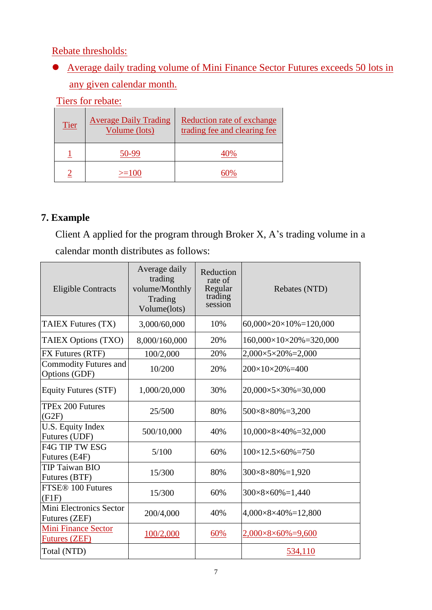Rebate thresholds:

 Average daily trading volume of Mini Finance Sector Futures exceeds 50 lots in any given calendar month.

Tiers for rebate:

| Tier | <b>Average Daily Trading</b><br>Volume (lots) | Reduction rate of exchange<br>trading fee and clearing fee |
|------|-----------------------------------------------|------------------------------------------------------------|
|      | (1-99                                         | 40%                                                        |
|      | $>=100$                                       |                                                            |

#### **7. Example**

Client A applied for the program through Broker X, A's trading volume in a calendar month distributes as follows:

| <b>Eligible Contracts</b>                          | Average daily<br>trading<br>volume/Monthly<br>Trading<br>Volume(lots) | Reduction<br>rate of<br>Regular<br>trading<br>session | Rebates (NTD)                         |
|----------------------------------------------------|-----------------------------------------------------------------------|-------------------------------------------------------|---------------------------------------|
| TAIEX Futures (TX)                                 | 3,000/60,000                                                          | 10%                                                   | $60,000\times20\times10\% = 120,000$  |
| TAIEX Options (TXO)                                | 8,000/160,000                                                         | 20%                                                   | $160,000\times10\times20\% = 320,000$ |
| <b>FX Futures (RTF)</b>                            | 100/2,000                                                             | 20%                                                   | $2,000\times5\times20\% = 2,000$      |
| <b>Commodity Futures and</b><br>Options (GDF)      | 10/200                                                                | 20%                                                   | $200\times10\times20\% = 400$         |
| Equity Futures (STF)                               | 1,000/20,000                                                          | 30%                                                   | $20,000\times5\times30\% = 30,000$    |
| <b>TPEx 200 Futures</b><br>(G2F)                   | 25/500                                                                | 80%                                                   | $500 \times 8 \times 80\% = 3,200$    |
| U.S. Equity Index<br>Futures (UDF)                 | 500/10,000                                                            | 40%                                                   | $10,000\times8\times40\% = 32,000$    |
| <b>F4G TIP TW ESG</b><br>Futures (E4F)             | 5/100                                                                 | 60%                                                   | $100\times12.5\times60\% = 750$       |
| <b>TIP Taiwan BIO</b><br>Futures (BTF)             | 15/300                                                                | 80%                                                   | $300 \times 8 \times 80\% = 1,920$    |
| FTSE <sup>®</sup> 100 Futures<br>(F1F)             | 15/300                                                                | 60%                                                   | $300 \times 8 \times 60\% = 1,440$    |
| Mini Electronics Sector<br>Futures (ZEF)           | 200/4,000                                                             | 40%                                                   | $4,000\times8\times40\% = 12,800$     |
| <b>Mini Finance Sector</b><br><b>Futures (ZEF)</b> | 100/2,000                                                             | 60%                                                   | $2,000\times8\times60\% = 9,600$      |
| Total (NTD)                                        |                                                                       |                                                       | 534,110                               |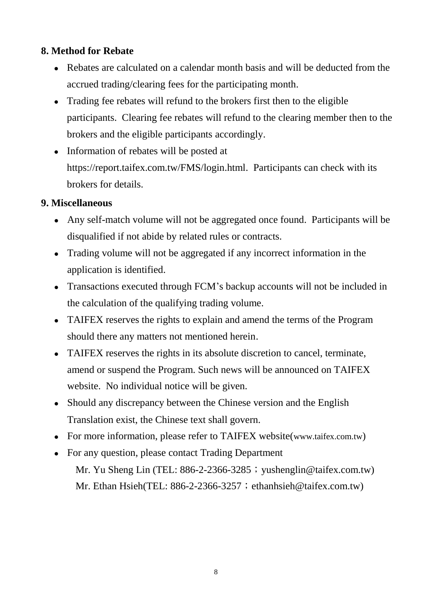#### **8. Method for Rebate**

- Rebates are calculated on a calendar month basis and will be deducted from the accrued trading/clearing fees for the participating month.
- Trading fee rebates will refund to the brokers first then to the eligible participants. Clearing fee rebates will refund to the clearing member then to the brokers and the eligible participants accordingly.
- Information of rebates will be posted at https://report.taifex.com.tw/FMS/login.html. Participants can check with its brokers for details.

#### **9. Miscellaneous**

- Any self-match volume will not be aggregated once found. Participants will be disqualified if not abide by related rules or contracts.
- Trading volume will not be aggregated if any incorrect information in the application is identified.
- Transactions executed through FCM's backup accounts will not be included in the calculation of the qualifying trading volume.
- TAIFEX reserves the rights to explain and amend the terms of the Program should there any matters not mentioned herein.
- TAIFEX reserves the rights in its absolute discretion to cancel, terminate, amend or suspend the Program. Such news will be announced on TAIFEX website. No individual notice will be given.
- Should any discrepancy between the Chinese version and the English Translation exist, the Chinese text shall govern.
- For more information, please refer to TAIFEX website([www.taifex.com.tw](http://www.taifex.com.tw/))
- For any question, please contact Trading Department Mr. Yu Sheng Lin (TEL:  $886-2-2366-3285$ ; yushenglin@taifex.com.tw) Mr. Ethan Hsieh(TEL: 886-2-2366-3257; ethanhsieh@taifex.com.tw)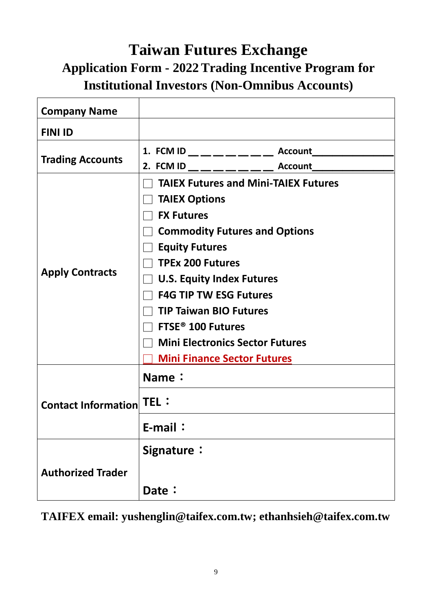## **Taiwan Futures Exchange Application Form - 2022Trading Incentive Program for Institutional Investors (Non-Omnibus Accounts)**

| <b>Company Name</b>      |                                                                                                                                                                                                                                                                                                                                                                                                             |  |  |
|--------------------------|-------------------------------------------------------------------------------------------------------------------------------------------------------------------------------------------------------------------------------------------------------------------------------------------------------------------------------------------------------------------------------------------------------------|--|--|
| <b>FINI ID</b>           |                                                                                                                                                                                                                                                                                                                                                                                                             |  |  |
| <b>Trading Accounts</b>  | 1. FCM ID _________ Account__                                                                                                                                                                                                                                                                                                                                                                               |  |  |
| <b>Apply Contracts</b>   | 2. FCM ID __ _ _ _ _ _ _ _ Account ____<br><b>TAIEX Futures and Mini-TAIEX Futures</b><br><b>TAIEX Options</b><br><b>FX Futures</b><br><b>Commodity Futures and Options</b><br><b>Equity Futures</b><br><b>TPEx 200 Futures</b><br>$\Box$ U.S. Equity Index Futures<br><b>F4G TIP TW ESG Futures</b><br><b>TIP Taiwan BIO Futures</b><br>$\Box$ FTSE® 100 Futures<br><b>Mini Electronics Sector Futures</b> |  |  |
|                          | <b>Mini Finance Sector Futures</b>                                                                                                                                                                                                                                                                                                                                                                          |  |  |
| Contact Information TEL: | Name:<br>E-mail:                                                                                                                                                                                                                                                                                                                                                                                            |  |  |
| <b>Authorized Trader</b> | Signature:                                                                                                                                                                                                                                                                                                                                                                                                  |  |  |
|                          | Date:                                                                                                                                                                                                                                                                                                                                                                                                       |  |  |

**TAIFEX email: [yushenglin@taifex.com.tw;](mailto:yushenglin@taifex.com.tw) [ethanhsieh@taifex.com.tw](mailto:ethanhsieh@taifex.com.tw)**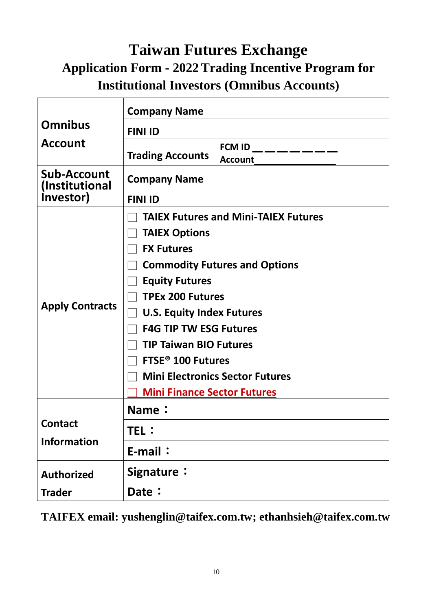## **Taiwan Futures Exchange Application Form - 2022Trading Incentive Program for Institutional Investors (Omnibus Accounts)**

| <b>Omnibus</b><br><b>Account</b>                  | <b>Company Name</b>                         |                                            |  |  |
|---------------------------------------------------|---------------------------------------------|--------------------------------------------|--|--|
|                                                   | <b>FINI ID</b>                              |                                            |  |  |
|                                                   | <b>Trading Accounts</b>                     | FCM ID __ __ __ __ __ __<br><b>Account</b> |  |  |
| <b>Sub-Account</b><br>(Institutional<br>Investor) | <b>Company Name</b>                         |                                            |  |  |
|                                                   | <b>FINI ID</b>                              |                                            |  |  |
| <b>Apply Contracts</b>                            | <b>TAIEX Futures and Mini-TAIEX Futures</b> |                                            |  |  |
|                                                   | <b>TAIEX Options</b>                        |                                            |  |  |
|                                                   | <b>FX Futures</b>                           |                                            |  |  |
|                                                   | <b>Commodity Futures and Options</b>        |                                            |  |  |
|                                                   | <b>Equity Futures</b>                       |                                            |  |  |
|                                                   | <b>TPEx 200 Futures</b>                     |                                            |  |  |
|                                                   | <b>U.S. Equity Index Futures</b>            |                                            |  |  |
|                                                   | <b>F4G TIP TW ESG Futures</b>               |                                            |  |  |
|                                                   | <b>TIP Taiwan BIO Futures</b>               |                                            |  |  |
|                                                   | <b>FTSE<sup>®</sup> 100 Futures</b>         |                                            |  |  |
|                                                   | <b>Mini Electronics Sector Futures</b>      |                                            |  |  |
|                                                   | <b>Mini Finance Sector Futures</b>          |                                            |  |  |
| <b>Contact</b><br><b>Information</b>              | Name:                                       |                                            |  |  |
|                                                   | TEL:                                        |                                            |  |  |
|                                                   | E-mail:                                     |                                            |  |  |
| <b>Authorized</b>                                 | Signature:                                  |                                            |  |  |
| <b>Trader</b>                                     | Date:                                       |                                            |  |  |

**TAIFEX email: [yushenglin@taifex.com.tw;](mailto:yushenglin@taifex.com.tw) [ethanhsieh@taifex.com.tw](mailto:ethanhsieh@taifex.com.tw)**